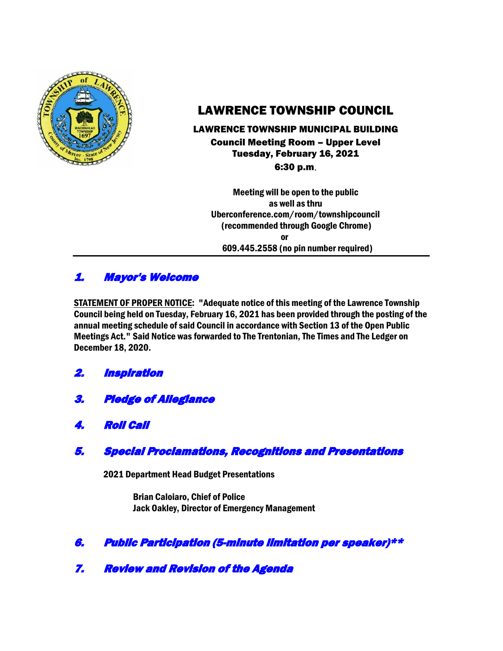

# LAWRENCE TOWNSHIP COUNCIL

### LAWRENCE TOWNSHIP MUNICIPAL BUILDING Council Meeting Room – Upper Level Tuesday, February 16, 2021 6:30 p.m.

Meeting will be open to the public as well as thru Uberconference.com/room/townshipcouncil (recommended through Google Chrome) **or** *or* 609.445.2558 (no pin number required)

## 1. Mayor's Welcome

STATEMENT OF PROPER NOTICE: "Adequate notice of this meeting of the Lawrence Township Council being held on Tuesday, February 16, 2021 has been provided through the posting of the annual meeting schedule of said Council in accordance with Section 13 of the Open Public Meetings Act." Said Notice was forwarded to The Trentonian, The Times and The Ledger on December 18, 2020.

- 2. Inspiration
- 3. Pledge of Allegiance
- 4. Roll Call

### 5. Special Proclamations, Recognitions and Presentations

2021 Department Head Budget Presentations

Brian Caloiaro, Chief of Police Jack Oakley, Director of Emergency Management

### 6. Public Participation (5-minute limitation per speaker)\*\*

7. Review and Revision of the Agenda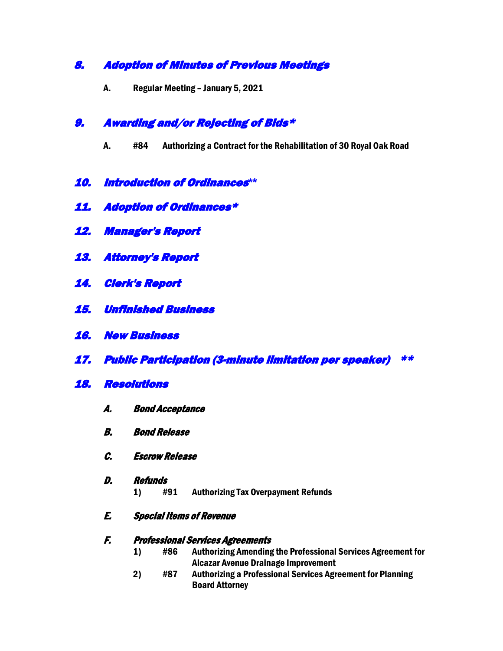### 8. Adoption of Minutes of Previous Meetings

A. Regular Meeting – January 5, 2021

### 9. Awarding and/or Rejecting of Bids\*

- A. #84 Authorizing a Contract for the Rehabilitation of 30 Royal Oak Road
- 10. Introduction of Ordinances**\*\***
- 11. Adoption of Ordinances\*
- 12. Manager's Report
- 13. Attorney's Report
- 14. Clerk's Report
- 15. Unfinished Business
- 16. New Business
- 17. Public Participation (3-minute limitation per speaker) \*\*
- 18. Resolutions
	- A. Bond Acceptance
	- B. Bond Release
	- C. Escrow Release
	- D. Refunds
		- 1) #91 Authorizing Tax Overpayment Refunds
	- E. Special Items of Revenue

#### F. Professional Services Agreements

- 1) #86 Authorizing Amending the Professional Services Agreement for Alcazar Avenue Drainage Improvement
- 2) #87 Authorizing a Professional Services Agreement for Planning Board Attorney